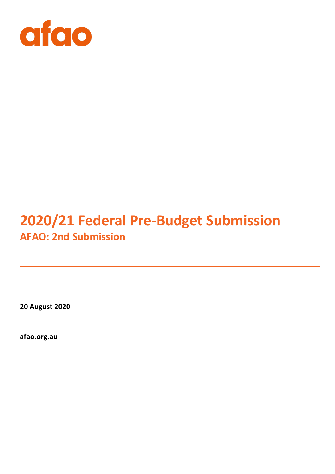

# **2020/21 Federal Pre-Budget Submission AFAO: 2nd Submission**

**20 August 2020**

**afao.org.au**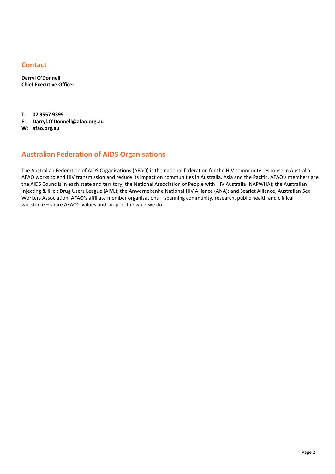# **Contact**

**Darryl O'Donnell Chief Executive Officer**

**T: 02 9557 9399**

- **E: Darryl.O'Donnell@afao.org.au**
- **W: afao.org.au**

# **Australian Federation of AIDS Organisations**

The Australian Federation of AIDS Organisations (AFAO) is the national federation for the HIV community response in Australia. AFAO works to end HIV transmission and reduce its impact on communities in Australia, Asia and the Pacific. AFAO's members are the AIDS Councils in each state and territory; the National Association of People with HIV Australia (NAPWHA); the Australian Injecting & Illicit Drug Users League (AIVL); the Anwernekenhe National HIV Alliance (ANA); and Scarlet Alliance, Australian Sex Workers Association. AFAO's affiliate member organisations – spanning community, research, public health and clinical workforce – share AFAO's values and support the work we do.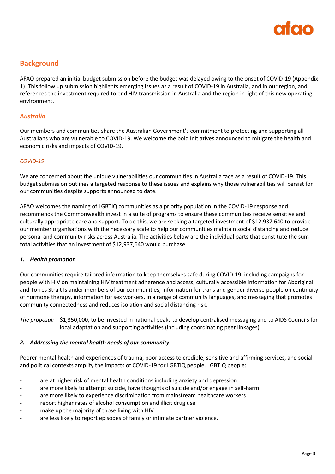

# **Background**

AFAO prepared an initial budget submission before the budget was delayed owing to the onset of COVID-19 (Appendix 1). This follow up submission highlights emerging issues as a result of COVID-19 in Australia, and in our region, and references the investment required to end HIV transmission in Australia and the region in light of this new operating environment.

## *Australia*

Our members and communities share the Australian Government's commitment to protecting and supporting all Australians who are vulnerable to COVID-19. We welcome the bold initiatives announced to mitigate the health and economic risks and impacts of COVID-19.

#### *COVID-19*

We are concerned about the unique vulnerabilities our communities in Australia face as a result of COVID-19. This budget submission outlines a targeted response to these issues and explains why those vulnerabilities will persist for our communities despite supports announced to date.

AFAO welcomes the naming of LGBTIQ communities as a priority population in the COVID-19 response and recommends the Commonwealth invest in a suite of programs to ensure these communities receive sensitive and culturally appropriate care and support. To do this, we are seeking a targeted investment of \$12,937,640 to provide our member organisations with the necessary scale to help our communities maintain social distancing and reduce personal and community risks across Australia. The activities below are the individual parts that constitute the sum total activities that an investment of \$12,937,640 would purchase.

#### *1. Health promotion*

Our communities require tailored information to keep themselves safe during COVID-19, including campaigns for people with HIV on maintaining HIV treatment adherence and access, culturally accessible information for Aboriginal and Torres Strait Islander members of our communities, information for trans and gender diverse people on continuity of hormone therapy, information for sex workers, in a range of community languages, and messaging that promotes community connectedness and reduces isolation and social distancing risk.

*The proposal:* \$1,350,000, to be invested in national peaks to develop centralised messaging and to AIDS Councils for local adaptation and supporting activities (including coordinating peer linkages).

## *2. Addressing the mental health needs of our community*

Poorer mental health and experiences of trauma, poor access to credible, sensitive and affirming services, and social and political contexts amplify the impacts of COVID-19 for LGBTIQ people. LGBTIQ people:

- are at higher risk of mental health conditions including anxiety and depression
- are more likely to attempt suicide, have thoughts of suicide and/or engage in self-harm
- are more likely to experience discrimination from mainstream healthcare workers
- report higher rates of alcohol consumption and illicit drug use
- make up the majority of those living with HIV
- are less likely to report episodes of family or intimate partner violence.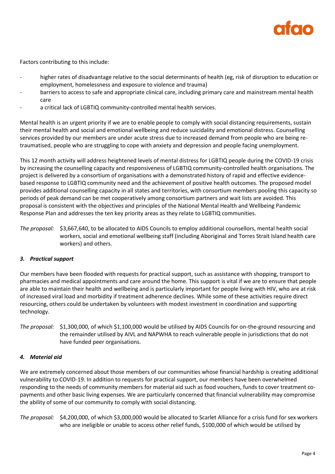

Factors contributing to this include:

- higher rates of disadvantage relative to the social determinants of health (eg, risk of disruption to education or employment, homelessness and exposure to violence and trauma)
- barriers to access to safe and appropriate clinical care, including primary care and mainstream mental health care
- a critical lack of LGBTIQ community-controlled mental health services.

Mental health is an urgent priority if we are to enable people to comply with social distancing requirements, sustain their mental health and social and emotional wellbeing and reduce suicidality and emotional distress. Counselling services provided by our members are under acute stress due to increased demand from people who are being retraumatised, people who are struggling to cope with anxiety and depression and people facing unemployment.

This 12 month activity will address heightened levels of mental distress for LGBTIQ people during the COVID-19 crisis by increasing the counselling capacity and responsiveness of LGBTIQ community-controlled health organisations. The project is delivered by a consortium of organisations with a demonstrated history of rapid and effective evidencebased response to LGBTIQ community need and the achievement of positive health outcomes. The proposed model provides additional counselling capacity in all states and territories, with consortium members pooling this capacity so periods of peak demand can be met cooperatively among consortium partners and wait lists are avoided. This proposal is consistent with the objectives and principles of the National Mental Health and Wellbeing Pandemic Response Plan and addresses the ten key priority areas as they relate to LGBTIQ communities.

*The proposal:* \$3,667,640, to be allocated to AIDS Councils to employ additional counsellors, mental health social workers, social and emotional wellbeing staff (including Aboriginal and Torres Strait Island health care workers) and others.

## *3. Practical support*

Our members have been flooded with requests for practical support, such as assistance with shopping, transport to pharmacies and medical appointments and care around the home. This support is vital if we are to ensure that people are able to maintain their health and wellbeing and is particularly important for people living with HIV, who are at risk of increased viral load and morbidity if treatment adherence declines. While some of these activities require direct resourcing, others could be undertaken by volunteers with modest investment in coordination and supporting technology.

*The proposal:* \$1,300,000, of which \$1,100,000 would be utilised by AIDS Councils for on-the-ground resourcing and the remainder utilised by AIVL and NAPWHA to reach vulnerable people in jurisdictions that do not have funded peer organisations.

## *4. Material aid*

We are extremely concerned about those members of our communities whose financial hardship is creating additional vulnerability to COVID-19. In addition to requests for practical support, our members have been overwhelmed responding to the needs of community members for material aid such as food vouchers, funds to cover treatment copayments and other basic living expenses. We are particularly concerned that financial vulnerability may compromise the ability of some of our community to comply with social distancing.

*The proposal:* \$4,200,000, of which \$3,000,000 would be allocated to Scarlet Alliance for a crisis fund for sex workers who are ineligible or unable to access other relief funds, \$100,000 of which would be utilised by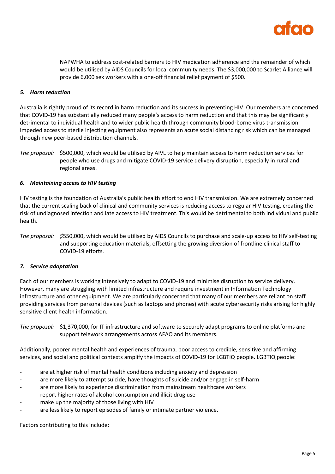

NAPWHA to address cost-related barriers to HIV medication adherence and the remainder of which would be utilised by AIDS Councils for local community needs. The \$3,000,000 to Scarlet Alliance will provide 6,000 sex workers with a one-off financial relief payment of \$500.

## *5. Harm reduction*

Australia is rightly proud of its record in harm reduction and its success in preventing HIV. Our members are concerned that COVID-19 has substantially reduced many people's access to harm reduction and that this may be significantly detrimental to individual health and to wider public health through community blood-borne virus transmission. Impeded access to sterile injecting equipment also represents an acute social distancing risk which can be managed through new peer-based distribution channels.

*The proposal:* \$500,000, which would be utilised by AIVL to help maintain access to harm reduction services for people who use drugs and mitigate COVID-19 service delivery disruption, especially in rural and regional areas.

## *6. Maintaining access to HIV testing*

HIV testing is the foundation of Australia's public health effort to end HIV transmission. We are extremely concerned that the current scaling back of clinical and community services is reducing access to regular HIV testing, creating the risk of undiagnosed infection and late access to HIV treatment. This would be detrimental to both individual and public health.

*The proposal: \$*550,000, which would be utilised by AIDS Councils to purchase and scale-up access to HIV self-testing and supporting education materials, offsetting the growing diversion of frontline clinical staff to COVID-19 efforts.

## *7. Service adaptation*

Each of our members is working intensively to adapt to COVID-19 and minimise disruption to service delivery. However, many are struggling with limited infrastructure and require investment in Information Technology infrastructure and other equipment. We are particularly concerned that many of our members are reliant on staff providing services from personal devices (such as laptops and phones) with acute cybersecurity risks arising for highly sensitive client health information.

*The proposal:* \$1,370,000, for IT infrastructure and software to securely adapt programs to online platforms and support telework arrangements across AFAO and its members.

Additionally, poorer mental health and experiences of trauma, poor access to credible, sensitive and affirming services, and social and political contexts amplify the impacts of COVID-19 for LGBTIQ people. LGBTIQ people:

- are at higher risk of mental health conditions including anxiety and depression
- are more likely to attempt suicide, have thoughts of suicide and/or engage in self-harm
- are more likely to experience discrimination from mainstream healthcare workers
- report higher rates of alcohol consumption and illicit drug use
- make up the majority of those living with HIV
- are less likely to report episodes of family or intimate partner violence.

Factors contributing to this include: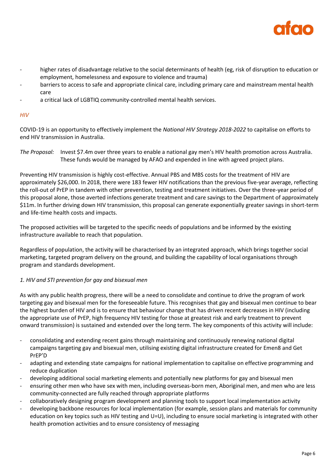

- higher rates of disadvantage relative to the social determinants of health (eg, risk of disruption to education or employment, homelessness and exposure to violence and trauma)
- barriers to access to safe and appropriate clinical care, including primary care and mainstream mental health care
- a critical lack of LGBTIQ community-controlled mental health services.

## *HIV*

COVID-19 is an opportunity to effectively implement the *National HIV Strategy 2018-2022* to capitalise on efforts to end HIV transmission in Australia.

*The Proposal:* Invest \$7.4m over three years to enable a national gay men's HIV health promotion across Australia. These funds would be managed by AFAO and expended in line with agreed project plans.

Preventing HIV transmission is highly cost-effective. Annual PBS and MBS costs for the treatment of HIV are approximately \$26,000. In 2018, there were 183 fewer HIV notifications than the previous five-year average, reflecting the roll-out of PrEP in tandem with other prevention, testing and treatment initiatives. Over the three-year period of this proposal alone, those averted infections generate treatment and care savings to the Department of approximately \$11m. In further driving down HIV transmission, this proposal can generate exponentially greater savings in short-term and life-time health costs and impacts.

The proposed activities will be targeted to the specific needs of populations and be informed by the existing infrastructure available to reach that population.

Regardless of population, the activity will be characterised by an integrated approach, which brings together social marketing, targeted program delivery on the ground, and building the capability of local organisations through program and standards development.

# *1. HIV and STI prevention for gay and bisexual men*

As with any public health progress, there will be a need to consolidate and continue to drive the program of work targeting gay and bisexual men for the foreseeable future. This recognises that gay and bisexual men continue to bear the highest burden of HIV and is to ensure that behaviour change that has driven recent decreases in HIV (including the appropriate use of PrEP, high frequency HIV testing for those at greatest risk and early treatment to prevent onward transmission) is sustained and extended over the long term. The key components of this activity will include:

- consolidating and extending recent gains through maintaining and continuously renewing national digital campaigns targeting gay and bisexual men, utilising existing digital infrastructure created for Emen8 and Get PrEP'D
- adapting and extending state campaigns for national implementation to capitalise on effective programming and reduce duplication
- developing additional social marketing elements and potentially new platforms for gay and bisexual men
- ensuring other men who have sex with men, including overseas-born men, Aboriginal men, and men who are less community-connected are fully reached through appropriate platforms
- collaboratively designing program development and planning tools to support local implementation activity
- developing backbone resources for local implementation (for example, session plans and materials for community education on key topics such as HIV testing and U=U), including to ensure social marketing is integrated with other health promotion activities and to ensure consistency of messaging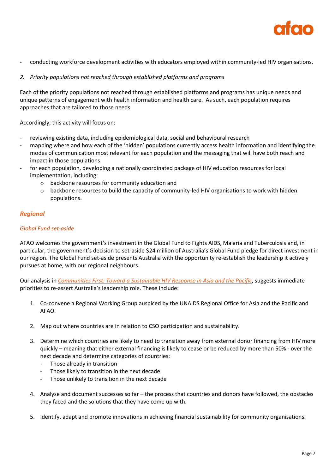

- conducting workforce development activities with educators employed within community-led HIV organisations.

# *2. Priority populations not reached through established platforms and programs*

Each of the priority populations not reached through established platforms and programs has unique needs and unique patterns of engagement with health information and health care. As such, each population requires approaches that are tailored to those needs.

Accordingly, this activity will focus on:

- reviewing existing data, including epidemiological data, social and behavioural research
- mapping where and how each of the 'hidden' populations currently access health information and identifying the modes of communication most relevant for each population and the messaging that will have both reach and impact in those populations
- for each population, developing a nationally coordinated package of HIV education resources for local implementation, including:
	- o backbone resources for community education and
	- $\circ$  backbone resources to build the capacity of community-led HIV organisations to work with hidden populations.

## *Regional*

## *Global Fund set-aside*

AFAO welcomes the government's investment in the Global Fund to Fights AIDS, Malaria and Tuberculosis and, in particular, the government's decision to set-aside \$24 million of Australia's Global Fund pledge for direct investment in our region. The Global Fund set-aside presents Australia with the opportunity re-establish the leadership it actively pursues at home, with our regional neighbours.

Our analysis in *[Communities First: Toward a Sustainable HIV Response in Asia and the Pacific](https://www.afao.org.au/wp-content/uploads/2020/07/Communities-First-Toward-a-Sustainable-HIV-Response-in-ASIA-and-the-Pacific.pdf)*, suggests immediate priorities to re-assert Australia's leadership role. These include:

- 1. Co-convene a Regional Working Group auspiced by the UNAIDS Regional Office for Asia and the Pacific and AFAO.
- 2. Map out where countries are in relation to CSO participation and sustainability.
- 3. Determine which countries are likely to need to transition away from external donor financing from HIV more quickly – meaning that either external financing is likely to cease or be reduced by more than 50% - over the next decade and determine categories of countries:
	- Those already in transition
	- Those likely to transition in the next decade
	- Those unlikely to transition in the next decade
- 4. Analyse and document successes so far the process that countries and donors have followed, the obstacles they faced and the solutions that they have come up with.
- 5. Identify, adapt and promote innovations in achieving financial sustainability for community organisations.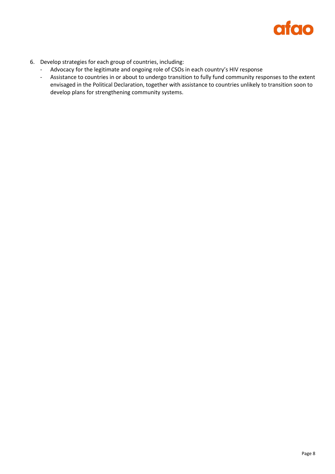

- 6. Develop strategies for each group of countries, including:
	- Advocacy for the legitimate and ongoing role of CSOs in each country's HIV response
	- Assistance to countries in or about to undergo transition to fully fund community responses to the extent envisaged in the Political Declaration, together with assistance to countries unlikely to transition soon to develop plans for strengthening community systems.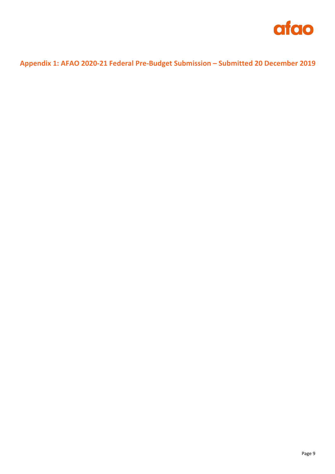

# **Appendix 1: AFAO 2020-21 Federal Pre-Budget Submission – Submitted 20 December 2019**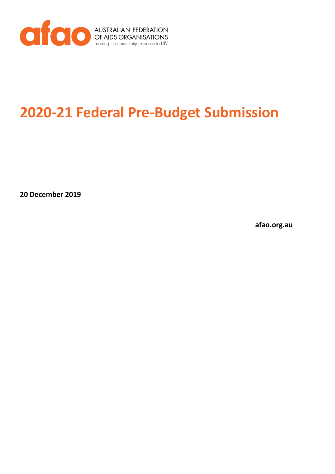

# **2020-21 Federal Pre-Budget Submission**

**20 December 2019**

**afao.org.au**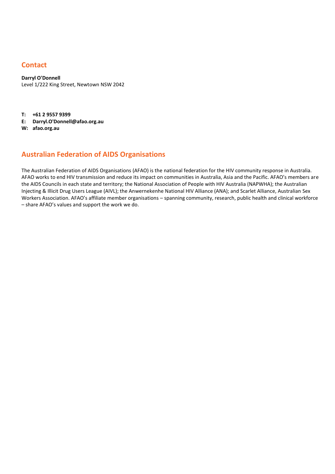# **Contact**

**Darryl O'Donnell** Level 1/222 King Street, Newtown NSW 2042

**T: +61 2 9557 9399**

**E: Darryl.O'Donnell@afao.org.au**

**W: afao.org.au**

# **Australian Federation of AIDS Organisations**

The Australian Federation of AIDS Organisations (AFAO) is the national federation for the HIV community response in Australia. AFAO works to end HIV transmission and reduce its impact on communities in Australia, Asia and the Pacific. AFAO's members are the AIDS Councils in each state and territory; the National Association of People with HIV Australia (NAPWHA); the Australian Injecting & Illicit Drug Users League (AIVL); the Anwernekenhe National HIV Alliance (ANA); and Scarlet Alliance, Australian Sex Workers Association. AFAO's affiliate member organisations – spanning community, research, public health and clinical workforce – share AFAO's values and support the work we do.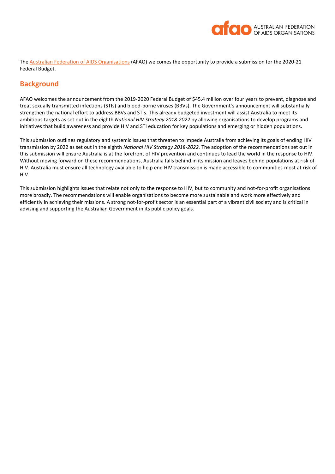

The [Australian Federation of AIDS Organisations](https://www.afao.org.au/) (AFAO) welcomes the opportunity to provide a submission for the 2020-21 Federal Budget.

# **Background**

AFAO welcomes the announcement from the 2019-2020 Federal Budget of \$45.4 million over four years to prevent, diagnose and treat sexually transmitted infections (STIs) and blood-borne viruses (BBVs). The Government's announcement will substantially strengthen the national effort to address BBVs and STIs. This already budgeted investment will assist Australia to meet its ambitious targets as set out in the eighth *National HIV Strategy 2018-2022* by allowing organisations to develop programs and initiatives that build awareness and provide HIV and STI education for key populations and emerging or hidden populations.

This submission outlines regulatory and systemic issues that threaten to impede Australia from achieving its goals of ending HIV transmission by 2022 as set out in the eighth *National HIV Strategy 2018-2022.* The adoption of the recommendations set out in this submission will ensure Australia is at the forefront of HIV prevention and continues to lead the world in the response to HIV. Without moving forward on these recommendations, Australia falls behind in its mission and leaves behind populations at risk of HIV. Australia must ensure all technology available to help end HIV transmission is made accessible to communities most at risk of HIV.

This submission highlights issues that relate not only to the response to HIV, but to community and not-for-profit organisations more broadly. The recommendations will enable organisations to become more sustainable and work more effectively and efficiently in achieving their missions. A strong not-for-profit sector is an essential part of a vibrant civil society and is critical in advising and supporting the Australian Government in its public policy goals.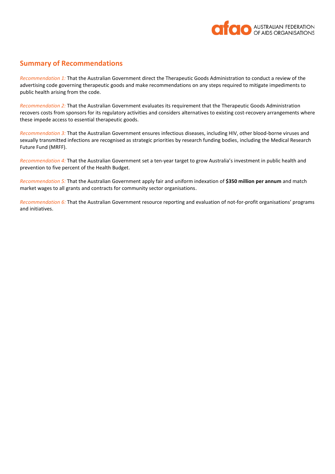

# **Summary of Recommendations**

*Recommendation 1:* That the Australian Government direct the Therapeutic Goods Administration to conduct a review of the advertising code governing therapeutic goods and make recommendations on any steps required to mitigate impediments to public health arising from the code.

*Recommendation 2:* That the Australian Government evaluates its requirement that the Therapeutic Goods Administration recovers costs from sponsors for its regulatory activities and considers alternatives to existing cost-recovery arrangements where these impede access to essential therapeutic goods.

*Recommendation 3:* That the Australian Government ensures infectious diseases, including HIV, other blood-borne viruses and sexually transmitted infections are recognised as strategic priorities by research funding bodies, including the Medical Research Future Fund (MRFF).

*Recommendation 4:* That the Australian Government set a ten-year target to grow Australia's investment in public health and prevention to five percent of the Health Budget.

*Recommendation 5:* That the Australian Government apply fair and uniform indexation of **\$350 million per annum** and match market wages to all grants and contracts for community sector organisations.

*Recommendation 6:* That the Australian Government resource reporting and evaluation of not-for-profit organisations' programs and initiatives.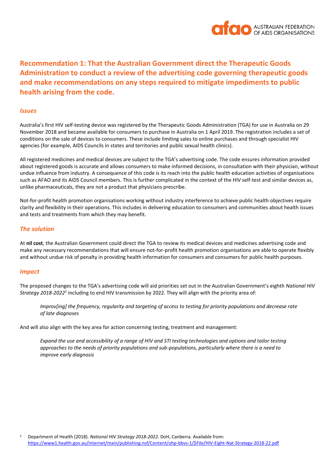

**Recommendation 1: That the Australian Government direct the Therapeutic Goods Administration to conduct a review of the advertising code governing therapeutic goods and make recommendations on any steps required to mitigate impediments to public health arising from the code.**

#### *Issues*

Australia's first HIV self-testing device was registered by the Therapeutic Goods Administration (TGA) for use in Australia on 29 November 2018 and became available for consumers to purchase in Australia on 1 April 2019. The registration includes a set of conditions on the sale of devices to consumers. These include limiting sales to online purchases and through specialist HIV agencies (for example, AIDS Councils in states and territories and public sexual health clinics).

All registered medicines and medical devices are subject to the TGA's advertising code. The code ensures information provided about registered goods is accurate and allows consumers to make informed decisions, in consultation with their physician, without undue influence from industry. A consequence of this code is its reach into the public health education activities of organisations such as AFAO and its AIDS Council members. This is further complicated in the context of the HIV self-test and similar devices as, unlike pharmaceuticals, they are not a product that physicians prescribe.

Not-for-profit health promotion organisations working without industry interference to achieve public health objectives require clarity and flexibility in their operations. This includes in delivering education to consumers and communities about health issues and tests and treatments from which they may benefit.

#### *The solution*

At **nil cost**, the Australian Government could direct the TGA to review its medical devices and medicines advertising code and make any necessary recommendations that will ensure not-for-profit health promotion organisations are able to operate flexibly and without undue risk of penalty in providing health information for consumers and consumers for public health purposes.

#### *Impact*

The proposed changes to the TGA's advertising code will aid priorities set out in the Australian Government's eighth *National HIV*  Strategy 2018-2022<sup>1</sup> including to end HIV transmission by 2022. They will align with the priority area of:

*Improv[ing] the frequency, regularity and targeting of access to testing for priority populations and decrease rate of late diagnoses*

And will also align with the key area for action concerning testing, treatment and management:

*Expand the use and accessibility of a range of HIV and STI testing technologies and options and tailor testing approaches to the needs of priority populations and sub-populations, particularly where there is a need to improve early diagnosis*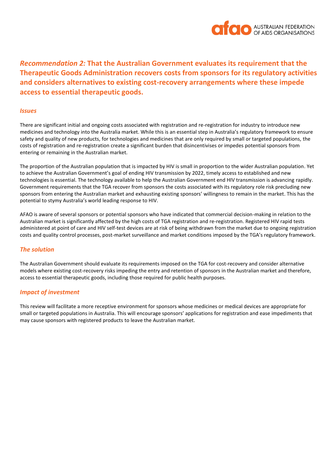

*Recommendation 2:* **That the Australian Government evaluates its requirement that the Therapeutic Goods Administration recovers costs from sponsors for its regulatory activities and considers alternatives to existing cost-recovery arrangements where these impede access to essential therapeutic goods.** 

#### *Issues*

There are significant initial and ongoing costs associated with registration and re-registration for industry to introduce new medicines and technology into the Australia market. While this is an essential step in Australia's regulatory framework to ensure safety and quality of new products, for technologies and medicines that are only required by small or targeted populations, the costs of registration and re-registration create a significant burden that disincentivises or impedes potential sponsors from entering or remaining in the Australian market.

The proportion of the Australian population that is impacted by HIV is small in proportion to the wider Australian population. Yet to achieve the Australian Government's goal of ending HIV transmission by 2022, timely access to established and new technologies is essential. The technology available to help the Australian Government end HIV transmission is advancing rapidly. Government requirements that the TGA recover from sponsors the costs associated with its regulatory role risk precluding new sponsors from entering the Australian market and exhausting existing sponsors' willingness to remain in the market. This has the potential to stymy Australia's world leading response to HIV.

AFAO is aware of several sponsors or potential sponsors who have indicated that commercial decision-making in relation to the Australian market is significantly affected by the high costs of TGA registration and re-registration. Registered HIV rapid tests administered at point of care and HIV self-test devices are at risk of being withdrawn from the market due to ongoing registration costs and quality control processes, post-market surveillance and market conditions imposed by the TGA's regulatory framework.

#### *The solution*

The Australian Government should evaluate its requirements imposed on the TGA for cost-recovery and consider alternative models where existing cost-recovery risks impeding the entry and retention of sponsors in the Australian market and therefore, access to essential therapeutic goods, including those required for public health purposes.

## *Impact of investment*

This review will facilitate a more receptive environment for sponsors whose medicines or medical devices are appropriate for small or targeted populations in Australia. This will encourage sponsors' applications for registration and ease impediments that may cause sponsors with registered products to leave the Australian market.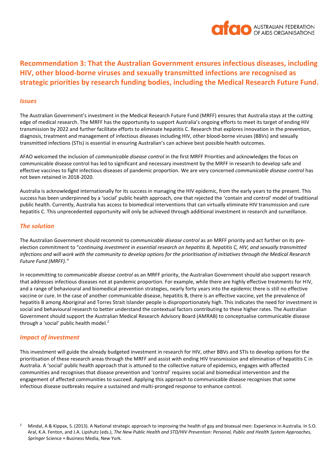

# **Recommendation 3: That the Australian Government ensures infectious diseases, including HIV, other blood-borne viruses and sexually transmitted infections are recognised as strategic priorities by research funding bodies, including the Medical Research Future Fund.**

#### *Issues*

The Australian Government's investment in the Medical Research Future Fund (MRFF) ensures that Australia stays at the cutting edge of medical research. The MRFF has the opportunity to support Australia's ongoing efforts to meet its target of ending HIV transmission by 2022 and further facilitate efforts to eliminate hepatitis C. Research that explores innovation in the prevention, diagnosis, treatment and management of infectious diseases including HIV, other blood-borne viruses (BBVs) and sexually transmitted infections (STIs) is essential in ensuring Australian's can achieve best possible health outcomes.

AFAO welcomed the inclusion of *communicable disease control* in the first MRFF Priorities and acknowledges the focus on communicable disease control has led to significant and necessary investment by the MRFF in research to develop safe and effective vaccines to fight infectious diseases of pandemic proportion. We are very concerned *communicable disease control* has not been retained in 2018-2020.

Australia is acknowledged internationally for its success in managing the HIV epidemic, from the early years to the present. This success has been underpinned by a 'social' public health approach, one that rejected the 'contain and control' model of traditional public health. Currently, Australia has access to biomedical interventions that can virtually eliminate HIV transmission and cure hepatitis C. This unprecedented opportunity will only be achieved through additional investment in research and surveillance.

#### *The solution*

The Australian Government should recommit to *communicable disease control* as an MRFF priority and act further on its preelection commitment to "*continuing investment in essential research on hepatitis B, hepatitis C, HIV, and sexually transmitted infections and will work with the community to develop options for the prioritisation of initiatives through the Medical Research Future Fund (MRFF)."*

In recommitting to *communicable disease control* as an MRFF priority, the Australian Government should also support research that addresses infectious diseases not at pandemic proportion. For example, while there are highly effective treatments for HIV, and a range of behavioural and biomedical prevention strategies, nearly forty years into the epidemic there is still no effective vaccine or cure. In the case of another communicable disease, hepatitis B, there is an effective vaccine, yet the prevalence of hepatitis B among Aboriginal and Torres Strait Islander people is disproportionately high. This indicates the need for investment in social and behavioural research to better understand the contextual factors contributing to these higher rates. The Australian Government should support the Australian Medical Research Advisory Board (AMRAB) to conceptualise communicable disease through a 'social' public health model.<sup>2</sup>

#### *Impact of investment*

This investment will guide the already budgeted investment in research for HIV, other BBVs and STIs to develop options for the prioritisation of these research areas through the MRFF and assist with ending HIV transmission and elimination of hepatitis C in Australia. A 'social' public health approach that is attuned to the collective nature of epidemics, engages with affected communities and recognises that disease prevention and 'control' requires social and biomedical intervention and the engagement of affected communities to succeed. Applying this approach to communicable disease recognises that some infectious disease outbreaks require a sustained and multi-pronged response to enhance control.

<sup>&</sup>lt;sup>2</sup> Mindal, A & Kippax, S. (2013). A National strategic approach to improving the health of gay and bisexual men: Experience in Australia. In S.O. Aral, K.A. Fenton, and J.A. Lipshutz (eds.), *The New Public Health and STD/HIV Prevention: Personal, Public and Health System Approaches, Springer* Science + Business Media, New York.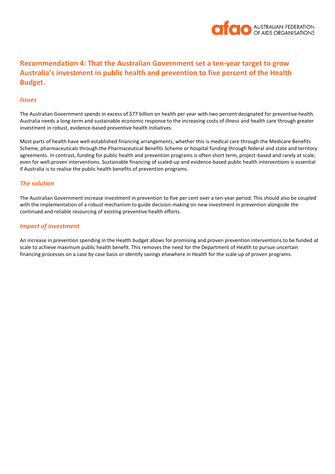

# **Recommendation 4: That the Australian Government set a ten-year target to grow Australia's investment in public health and prevention to five percent of the Health Budget.**

#### *Issues*

The Australian Government spends in excess of \$77 billion on health per year with two percent designated for preventive health. Australia needs a long-term and sustainable economic response to the increasing costs of illness and health care through greater investment in robust, evidence-based preventive health initiatives.

Most parts of health have well-established financing arrangements, whether this is medical care through the Medicare Benefits Scheme, pharmaceuticals through the Pharmaceutical Benefits Scheme or hospital funding through federal and state and territory agreements. In contrast, funding for public health and prevention programs is often short term, project-based and rarely at scale; even for well-proven interventions. Sustainable financing of scaled-up and evidence-based public health interventions is essential if Australia is to realise the public health benefits of prevention programs.

#### *The solution*

The Australian Government increase investment in prevention to five per cent over a ten-year period. This should also be coupled with the implementation of a robust mechanism to guide decision-making on new investment in prevention alongside the continued and reliable resourcing of existing preventive health efforts.

#### *Impact of investment*

An increase in prevention spending in the Health budget allows for promising and proven prevention interventions to be funded at scale to achieve maximum public health benefit. This removes the need for the Department of Health to pursue uncertain financing processes on a case by case basis or identify savings elsewhere in Health for the scale up of proven programs.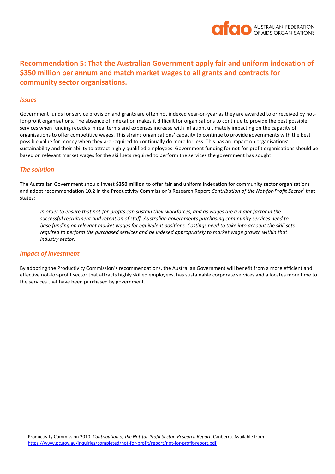

# **Recommendation 5: That the Australian Government apply fair and uniform indexation of \$350 million per annum and match market wages to all grants and contracts for community sector organisations.**

#### *Issues*

Government funds for service provision and grants are often not indexed year-on-year as they are awarded to or received by notfor-profit organisations. The absence of indexation makes it difficult for organisations to continue to provide the best possible services when funding recedes in real terms and expenses increase with inflation, ultimately impacting on the capacity of organisations to offer competitive wages. This strains organisations' capacity to continue to provide governments with the best possible value for money when they are required to continually do more for less. This has an impact on organisations' sustainability and their ability to attract highly qualified employees. Government funding for not-for-profit organisations should be based on relevant market wages for the skill sets required to perform the services the government has sought.

#### *The solution*

The Australian Government should invest **\$350 million** to offer fair and uniform indexation for community sector organisations and adopt recommendation 10.2 in the Productivity Commission's Research Report *Contribution of the Not-for-Profit Sector<sup>3</sup>* that states:

*In order to ensure that not-for-profits can sustain their workforces, and as wages are a major factor in the successful recruitment and retention of staff, Australian governments purchasing community services need to base funding on relevant market wages for equivalent positions. Costings need to take into account the skill sets required to perform the purchased services and be indexed appropriately to market wage growth within that industry sector.*

#### *Impact of investment*

By adopting the Productivity Commission's recommendations, the Australian Government will benefit from a more efficient and effective not-for-profit sector that attracts highly skilled employees, has sustainable corporate services and allocates more time to the services that have been purchased by government.

<sup>3</sup> Productivity Commission 2010. *Contribution of the Not-for-Profit Sector, Research Report*. Canberra. Available from: <https://www.pc.gov.au/inquiries/completed/not-for-profit/report/not-for-profit-report.pdf>